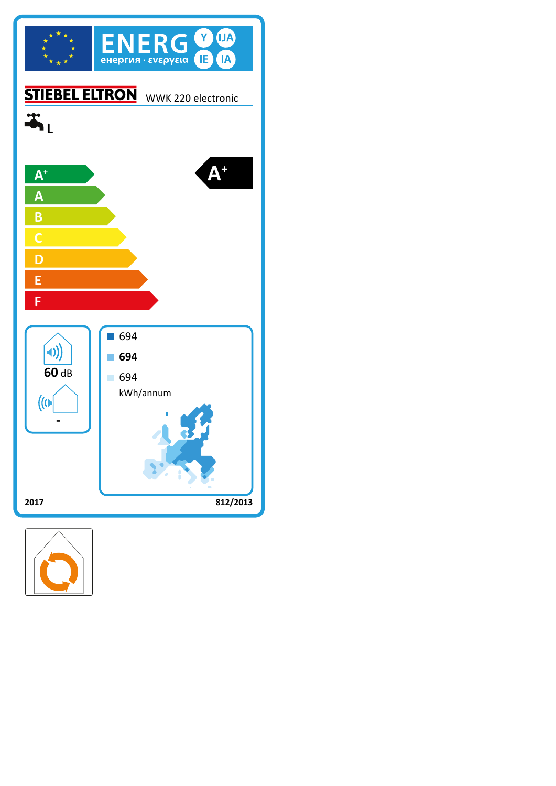